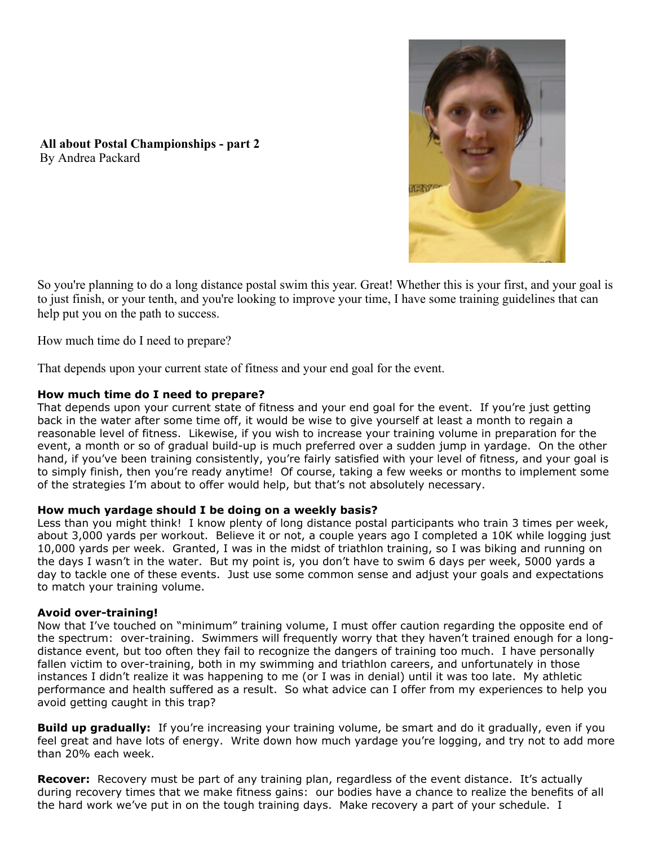

**All about Postal Championships - part 2** By Andrea Packard

So you're planning to do a long distance postal swim this year. Great! Whether this is your first, and your goal is to just finish, or your tenth, and you're looking to improve your time, I have some training guidelines that can help put you on the path to success.

How much time do I need to prepare?

That depends upon your current state of fitness and your end goal for the event.

# **How much time do I need to prepare?**

That depends upon your current state of fitness and your end goal for the event. If you're just getting back in the water after some time off, it would be wise to give yourself at least a month to regain a reasonable level of fitness. Likewise, if you wish to increase your training volume in preparation for the event, a month or so of gradual build-up is much preferred over a sudden jump in yardage. On the other hand, if you've been training consistently, you're fairly satisfied with your level of fitness, and your goal is to simply finish, then you're ready anytime! Of course, taking a few weeks or months to implement some of the strategies I'm about to offer would help, but that's not absolutely necessary.

## **How much yardage should I be doing on a weekly basis?**

Less than you might think! I know plenty of long distance postal participants who train 3 times per week, about 3,000 yards per workout. Believe it or not, a couple years ago I completed a 10K while logging just 10,000 yards per week. Granted, I was in the midst of triathlon training, so I was biking and running on the days I wasn't in the water. But my point is, you don't have to swim 6 days per week, 5000 yards a day to tackle one of these events. Just use some common sense and adjust your goals and expectations to match your training volume.

## **Avoid over-training!**

Now that I've touched on "minimum" training volume, I must offer caution regarding the opposite end of the spectrum: over-training. Swimmers will frequently worry that they haven't trained enough for a longdistance event, but too often they fail to recognize the dangers of training too much. I have personally fallen victim to over-training, both in my swimming and triathlon careers, and unfortunately in those instances I didn't realize it was happening to me (or I was in denial) until it was too late. My athletic performance and health suffered as a result. So what advice can I offer from my experiences to help you avoid getting caught in this trap?

**Build up gradually:** If you're increasing your training volume, be smart and do it gradually, even if you feel great and have lots of energy. Write down how much yardage you're logging, and try not to add more than 20% each week.

**Recover:** Recovery must be part of any training plan, regardless of the event distance. It's actually during recovery times that we make fitness gains: our bodies have a chance to realize the benefits of all the hard work we've put in on the tough training days. Make recovery a part of your schedule. I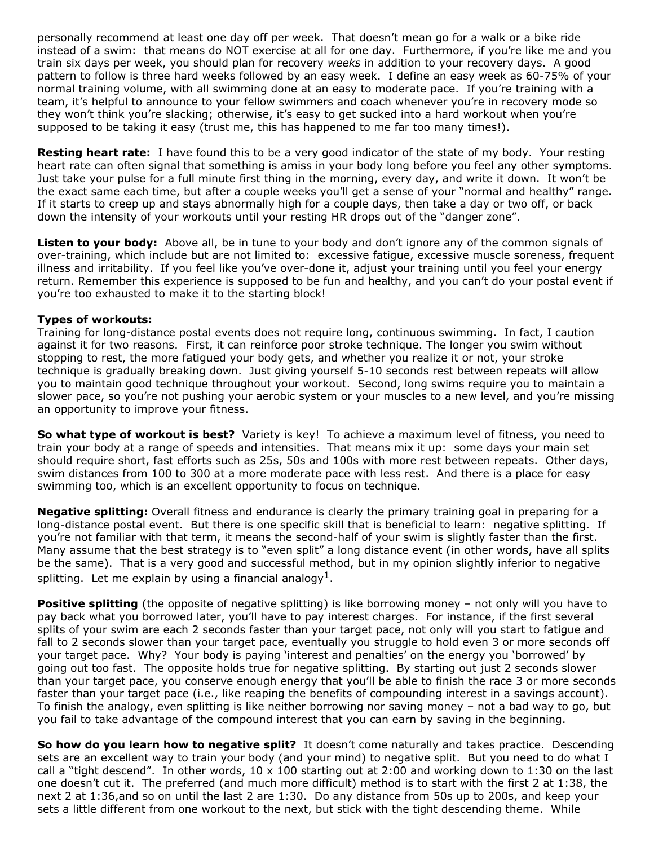personally recommend at least one day off per week. That doesn't mean go for a walk or a bike ride instead of a swim: that means do NOT exercise at all for one day. Furthermore, if you're like me and you train six days per week, you should plan for recovery *weeks* in addition to your recovery days. A good pattern to follow is three hard weeks followed by an easy week. I define an easy week as 60-75% of your normal training volume, with all swimming done at an easy to moderate pace. If you're training with a team, it's helpful to announce to your fellow swimmers and coach whenever you're in recovery mode so they won't think you're slacking; otherwise, it's easy to get sucked into a hard workout when you're supposed to be taking it easy (trust me, this has happened to me far too many times!).

**Resting heart rate:** I have found this to be a very good indicator of the state of my body. Your resting heart rate can often signal that something is amiss in your body long before you feel any other symptoms. Just take your pulse for a full minute first thing in the morning, every day, and write it down. It won't be the exact same each time, but after a couple weeks you'll get a sense of your "normal and healthy" range. If it starts to creep up and stays abnormally high for a couple days, then take a day or two off, or back down the intensity of your workouts until your resting HR drops out of the "danger zone".

**Listen to your body:** Above all, be in tune to your body and don't ignore any of the common signals of over-training, which include but are not limited to: excessive fatigue, excessive muscle soreness, frequent illness and irritability. If you feel like you've over-done it, adjust your training until you feel your energy return. Remember this experience is supposed to be fun and healthy, and you can't do your postal event if you're too exhausted to make it to the starting block!

## **Types of workouts:**

Training for long-distance postal events does not require long, continuous swimming. In fact, I caution against it for two reasons. First, it can reinforce poor stroke technique. The longer you swim without stopping to rest, the more fatigued your body gets, and whether you realize it or not, your stroke technique is gradually breaking down. Just giving yourself 5-10 seconds rest between repeats will allow you to maintain good technique throughout your workout. Second, long swims require you to maintain a slower pace, so you're not pushing your aerobic system or your muscles to a new level, and you're missing an opportunity to improve your fitness.

**So what type of workout is best?** Variety is key! To achieve a maximum level of fitness, you need to train your body at a range of speeds and intensities. That means mix it up: some days your main set should require short, fast efforts such as 25s, 50s and 100s with more rest between repeats. Other days, swim distances from 100 to 300 at a more moderate pace with less rest. And there is a place for easy swimming too, which is an excellent opportunity to focus on technique.

**Negative splitting:** Overall fitness and endurance is clearly the primary training goal in preparing for a long-distance postal event. But there is one specific skill that is beneficial to learn: negative splitting. If you're not familiar with that term, it means the second-half of your swim is slightly faster than the first. Many assume that the best strategy is to "even split" a long distance event (in other words, have all splits be the same). That is a very good and successful method, but in my opinion slightly inferior to negative splitting. Let me explain by using a financial analogy<sup>1</sup>.

**Positive splitting** (the opposite of negative splitting) is like borrowing money - not only will you have to pay back what you borrowed later, you'll have to pay interest charges. For instance, if the first several splits of your swim are each 2 seconds faster than your target pace, not only will you start to fatigue and fall to 2 seconds slower than your target pace, eventually you struggle to hold even 3 or more seconds off your target pace. Why? Your body is paying 'interest and penalties' on the energy you 'borrowed' by going out too fast. The opposite holds true for negative splitting. By starting out just 2 seconds slower than your target pace, you conserve enough energy that you'll be able to finish the race 3 or more seconds faster than your target pace (i.e., like reaping the benefits of compounding interest in a savings account). To finish the analogy, even splitting is like neither borrowing nor saving money – not a bad way to go, but you fail to take advantage of the compound interest that you can earn by saving in the beginning.

**So how do you learn how to negative split?** It doesn't come naturally and takes practice. Descending sets are an excellent way to train your body (and your mind) to negative split. But you need to do what I call a "tight descend". In other words,  $10 \times 100$  starting out at 2:00 and working down to 1:30 on the last one doesn't cut it. The preferred (and much more difficult) method is to start with the first 2 at 1:38, the next 2 at 1:36,and so on until the last 2 are 1:30. Do any distance from 50s up to 200s, and keep your sets a little different from one workout to the next, but stick with the tight descending theme. While